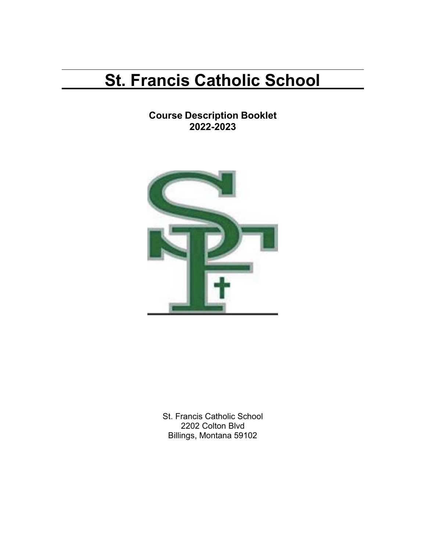# **St. Francis Catholic School**

**Course Description Booklet 2022-2023**



St. Francis Catholic School 2202 Colton Blvd Billings, Montana 59102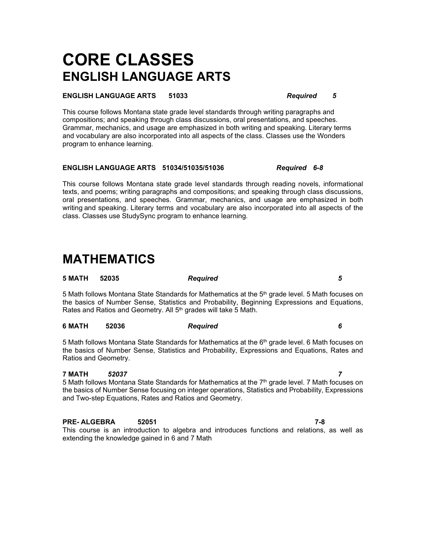# **CORE CLASSES ENGLISH LANGUAGE ARTS**

### **ENGLISH LANGUAGE ARTS 51033** *Required 5*

This course follows Montana state grade level standards through writing paragraphs and compositions; and speaking through class discussions, oral presentations, and speeches. Grammar, mechanics, and usage are emphasized in both writing and speaking. Literary terms and vocabulary are also incorporated into all aspects of the class. Classes use the Wonders program to enhance learning.

### **ENGLISH LANGUAGE ARTS 51034/51035/51036** *Required 6-8*

This course follows Montana state grade level standards through reading novels, informational texts, and poems; writing paragraphs and compositions; and speaking through class discussions, oral presentations, and speeches. Grammar, mechanics, and usage are emphasized in both writing and speaking. Literary terms and vocabulary are also incorporated into all aspects of the class. Classes use StudySync program to enhance learning.

### **MATHEMATICS**

5 Math follows Montana State Standards for Mathematics at the 5<sup>th</sup> grade level. 5 Math focuses on the basics of Number Sense, Statistics and Probability, Beginning Expressions and Equations, Rates and Ratios and Geometry. All 5<sup>th</sup> grades will take 5 Math.

### **6 MATH 52036** *Required 6*

**5 MATH 52035** *Required 5*

5 Math follows Montana State Standards for Mathematics at the 6<sup>th</sup> grade level. 6 Math focuses on the basics of Number Sense, Statistics and Probability, Expressions and Equations, Rates and Ratios and Geometry.

### **7 MATH** *52037 7*

5 Math follows Montana State Standards for Mathematics at the 7<sup>th</sup> grade level. 7 Math focuses on the basics of Number Sense focusing on integer operations, Statistics and Probability, Expressions and Two-step Equations, Rates and Ratios and Geometry.

### **PRE- ALGEBRA 52051 7-8**

This course is an introduction to algebra and introduces functions and relations, as well as extending the knowledge gained in 6 and 7 Math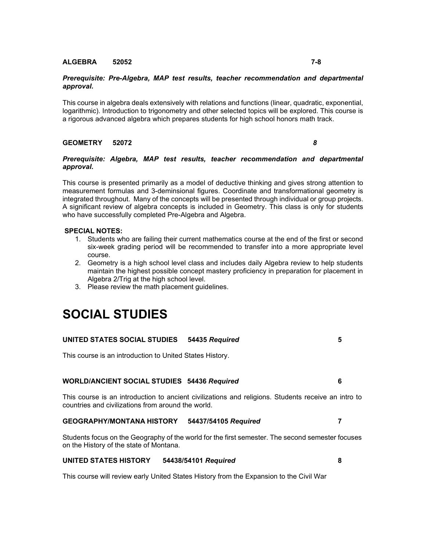### **ALGEBRA 52052 7-8**

### *Prerequisite: Pre-Algebra, MAP test results, teacher recommendation and departmental approval.*

This course in algebra deals extensively with relations and functions (linear, quadratic, exponential, logarithmic). Introduction to trigonometry and other selected topics will be explored. This course is a rigorous advanced algebra which prepares students for high school honors math track.

### **GEOMETRY 52072** *8*

### *Prerequisite: Algebra, MAP test results, teacher recommendation and departmental approval.*

This course is presented primarily as a model of deductive thinking and gives strong attention to measurement formulas and 3-deminsional figures. Coordinate and transformational geometry is integrated throughout. Many of the concepts will be presented through individual or group projects. A significant review of algebra concepts is included in Geometry. This class is only for students who have successfully completed Pre-Algebra and Algebra.

### **SPECIAL NOTES:**

- 1. Students who are failing their current mathematics course at the end of the first or second six-week grading period will be recommended to transfer into a more appropriate level course.
- 2. Geometry is a high school level class and includes daily Algebra review to help students maintain the highest possible concept mastery proficiency in preparation for placement in Algebra 2/Trig at the high school level.
- 3. Please review the math placement guidelines.

## **SOCIAL STUDIES**

| UNITED STATES SOCIAL STUDIES 54435 Required |  |
|---------------------------------------------|--|
|                                             |  |

This course is an introduction to United States History.

### **WORLD/ANCIENT SOCIAL STUDIES 54436** *Required* **6**

This course is an introduction to ancient civilizations and religions. Students receive an intro to countries and civilizations from around the world.

### **GEOGRAPHY/MONTANA HISTORY 54437/54105** *Required* **7**

Students focus on the Geography of the world for the first semester. The second semester focuses on the History of the state of Montana.

### **UNITED STATES HISTORY 54438/54101** *Required* **8**

This course will review early United States History from the Expansion to the Civil War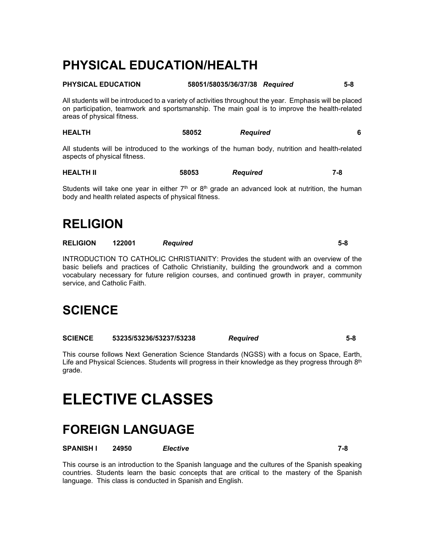## **PHYSICAL EDUCATION/HEALTH**

### **PHYSICAL EDUCATION 58051/58035/36/37/38** *Required* **5-8**

All students will be introduced to a variety of activities throughout the year. Emphasis will be placed on participation, teamwork and sportsmanship. The main goal is to improve the health-related areas of physical fitness.

| <b>HEALTH</b> | 58052 | <b>Required</b> |  |
|---------------|-------|-----------------|--|
|               |       |                 |  |

All students will be introduced to the workings of the human body, nutrition and health-related aspects of physical fitness.

| <b>HEALTH II</b> | 58053 | <b>Required</b> | ' – 0 |
|------------------|-------|-----------------|-------|
|------------------|-------|-----------------|-------|

Students will take one year in either  $7<sup>th</sup>$  or  $8<sup>th</sup>$  grade an advanced look at nutrition, the human body and health related aspects of physical fitness.

## **RELIGION**

**RELIGION 122001** *Required* **5-8**

INTRODUCTION TO CATHOLIC CHRISTIANITY: Provides the student with an overview of the basic beliefs and practices of Catholic Christianity, building the groundwork and a common vocabulary necessary for future religion courses, and continued growth in prayer, community service, and Catholic Faith.

## **SCIENCE**

**SCIENCE 53235/53236/53237/53238** *Required* **5-8**

This course follows Next Generation Science Standards (NGSS) with a focus on Space, Earth, Life and Physical Sciences. Students will progress in their knowledge as they progress through 8<sup>th</sup> grade.

# **ELECTIVE CLASSES**

## **FOREIGN LANGUAGE**

**SPANISH I 24950** *Elective* **7-8**

This course is an introduction to the Spanish language and the cultures of the Spanish speaking countries. Students learn the basic concepts that are critical to the mastery of the Spanish language. This class is conducted in Spanish and English.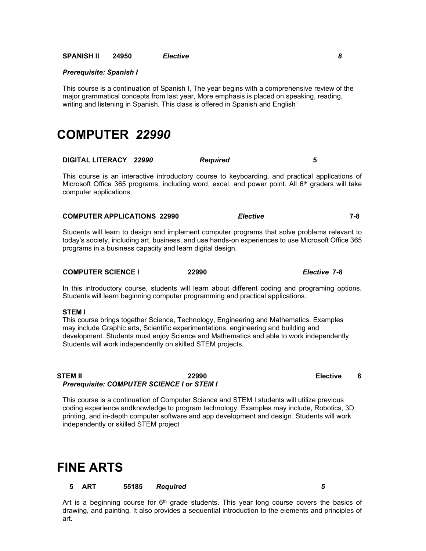**SPANISH II 24950** *Elective 8*

#### *Prerequisite: Spanish I*

This course is a continuation of Spanish I, The year begins with a comprehensive review of the major grammatical concepts from last year, More emphasis is placed on speaking, reading, writing and listening in Spanish. This class is offered in Spanish and English

### **COMPUTER** *22990*

| DIGITAL LITERACY 22990 |  | <b>Required</b> |  |
|------------------------|--|-----------------|--|
|------------------------|--|-----------------|--|

This course is an interactive introductory course to keyboarding, and practical applications of Microsoft Office 365 programs, including word, excel, and power point. All  $6<sup>th</sup>$  graders will take computer applications.

| <b>COMPUTER APPLICATIONS 22990</b> | Elective | 7-8 |
|------------------------------------|----------|-----|
|------------------------------------|----------|-----|

Students will learn to design and implement computer programs that solve problems relevant to today's society, including art, business, and use hands-on experiences to use Microsoft Office 365 programs in a business capacity and learn digital design.

### **COMPUTER SCIENCE I 22990** *Elective* **7-8**

In this introductory course, students will learn about different coding and programing options. Students will learn beginning computer programming and practical applications.

#### **STEM I**

This course brings together Science, Technology, Engineering and Mathematics. Examples may include Graphic arts, Scientific experimentations, engineering and building and development. Students must enjoy Science and Mathematics and able to work independently Students will work independently on skilled STEM projects.

### **STEM II 22990 Elective 8** *Prerequisite: COMPUTER SCIENCE I or STEM I*

This course is a continuation of Computer Science and STEM I students will utilize previous coding experience and knowledge to program technology. Examples may include, Robotics, 3D printing, and in-depth computer software and app development and design. Students will work independently or skilled STEM project

### **FINE ARTS**

### **5 ART 55185** *Required 5*

Art is a beginning course for  $6<sup>th</sup>$  grade students. This year long course covers the basics of drawing, and painting. It also provides a sequential introduction to the elements and principles of art.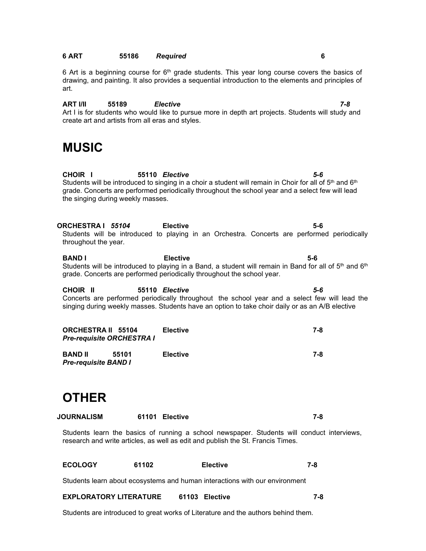### **6 ART 55186** *Required* **6**

6 Art is a beginning course for  $6<sup>th</sup>$  grade students. This year long course covers the basics of drawing, and painting. It also provides a sequential introduction to the elements and principles of art.

**ART I/II 55189** *Elective 7-8* Art I is for students who would like to pursue more in depth art projects. Students will study and create art and artists from all eras and styles.

### **MUSIC**

**CHOIR I 55110** *Elective 5-6* Students will be introduced to singing in a choir a student will remain in Choir for all of  $5<sup>th</sup>$  and  $6<sup>th</sup>$ grade. Concerts are performed periodically throughout the school year and a select few will lead the singing during weekly masses.

**ORCHESTRA I** *55104* **Elective 5-6** Students will be introduced to playing in an Orchestra. Concerts are performed periodically throughout the year.

**BAND I Elective 5-6** Students will be introduced to playing in a Band, a student will remain in Band for all of  $5<sup>th</sup>$  and  $6<sup>th</sup>$ grade. Concerts are performed periodically throughout the school year.

**CHOIR II 55110** *Elective 5-6* Concerts are performed periodically throughout the school year and a select few will lead the singing during weekly masses. Students have an option to take choir daily or as an A/B elective

| <b>ORCHESTRA II 55104</b><br><b>Pre-requisite ORCHESTRA I</b> | <b>Elective</b>          | 7-8 |
|---------------------------------------------------------------|--------------------------|-----|
| <b>BAND II</b><br><b>Pre-requisite BAND I</b>                 | <b>Elective</b><br>55101 | 7-8 |

## **OTHER**

| <b>JOURNALISM</b><br>61101 Elective |  |  |
|-------------------------------------|--|--|
|-------------------------------------|--|--|

Students learn the basics of running a school newspaper. Students will conduct interviews, research and write articles, as well as edit and publish the St. Francis Times.

| <b>ECOLOGY</b> | 61102 | Elective | 7-8 |
|----------------|-------|----------|-----|
|                |       |          |     |

Students learn about ecosystems and human interactions with our environment

### **EXPLORATORY LITERATURE 61103 Elective 7-8**

Students are introduced to great works of Literature and the authors behind them.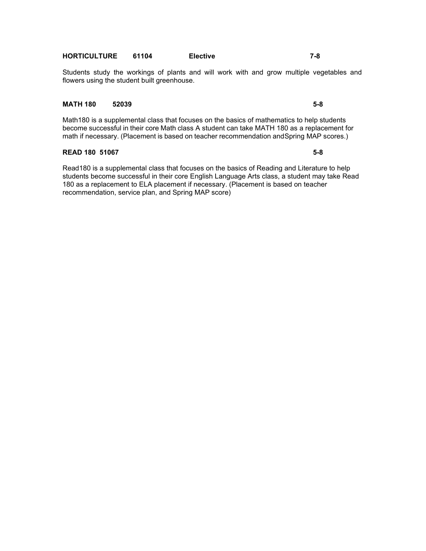### **HORTICULTURE 61104 Elective 7-8**

Students study the workings of plants and will work with and grow multiple vegetables and flowers using the student built greenhouse.

### **MATH 180 52039 5-8**

Math180 is a supplemental class that focuses on the basics of mathematics to help students become successful in their core Math class A student can take MATH 180 as a replacement for math if necessary. (Placement is based on teacher recommendation and Spring MAP scores.)

### **READ 180 51067 5-8**

Read180 is a supplemental class that focuses on the basics of Reading and Literature to help students become successful in their core English Language Arts class, a student may take Read 180 as a replacement to ELA placement if necessary. (Placement is based on teacher recommendation, service plan, and Spring MAP score)